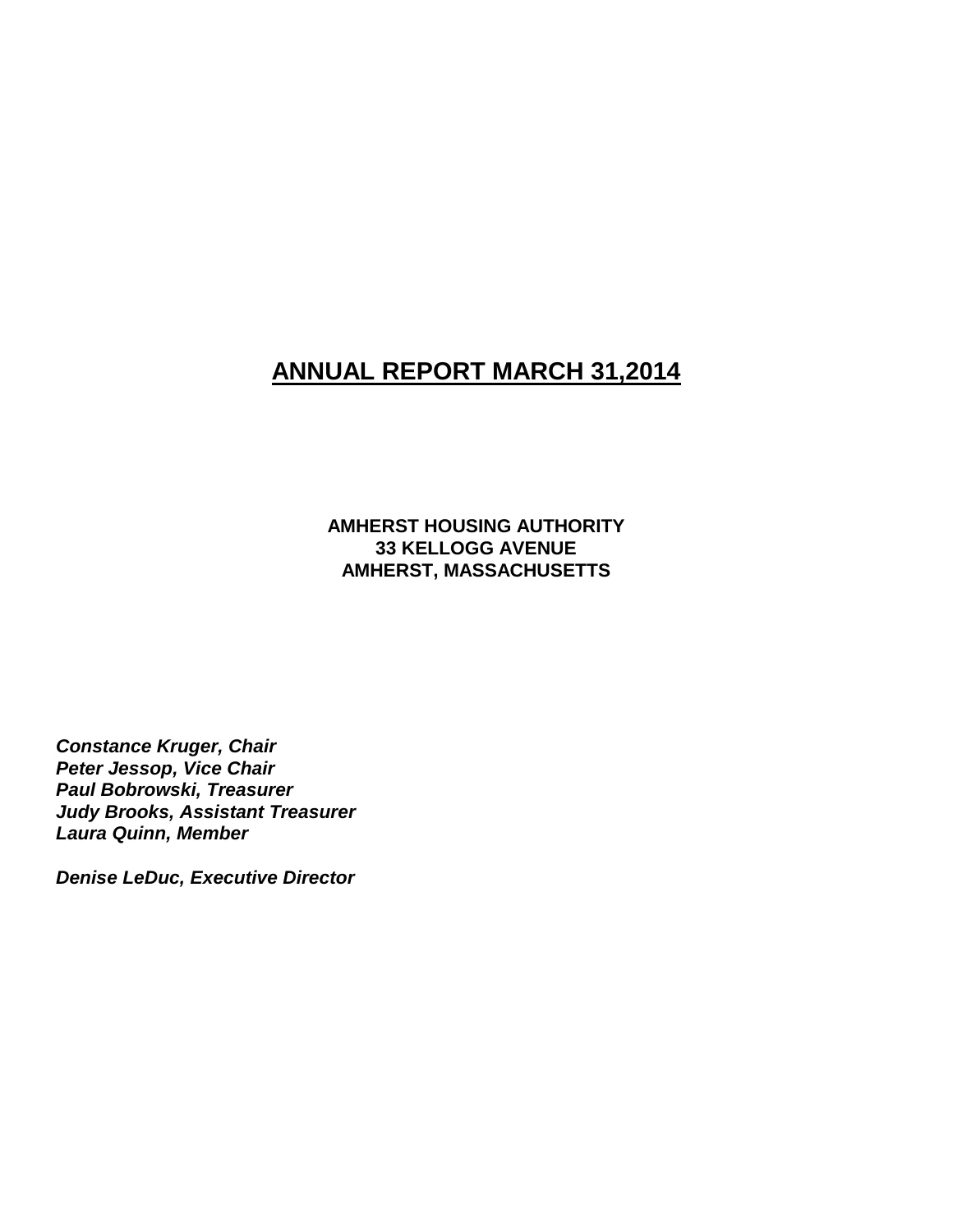# **ANNUAL REPORT MARCH 31,2014**

**AMHERST HOUSING AUTHORITY 33 KELLOGG AVENUE AMHERST, MASSACHUSETTS**

*Constance Kruger, Chair Peter Jessop, Vice Chair Paul Bobrowski, Treasurer Judy Brooks, Assistant Treasurer Laura Quinn, Member*

*Denise LeDuc, Executive Director*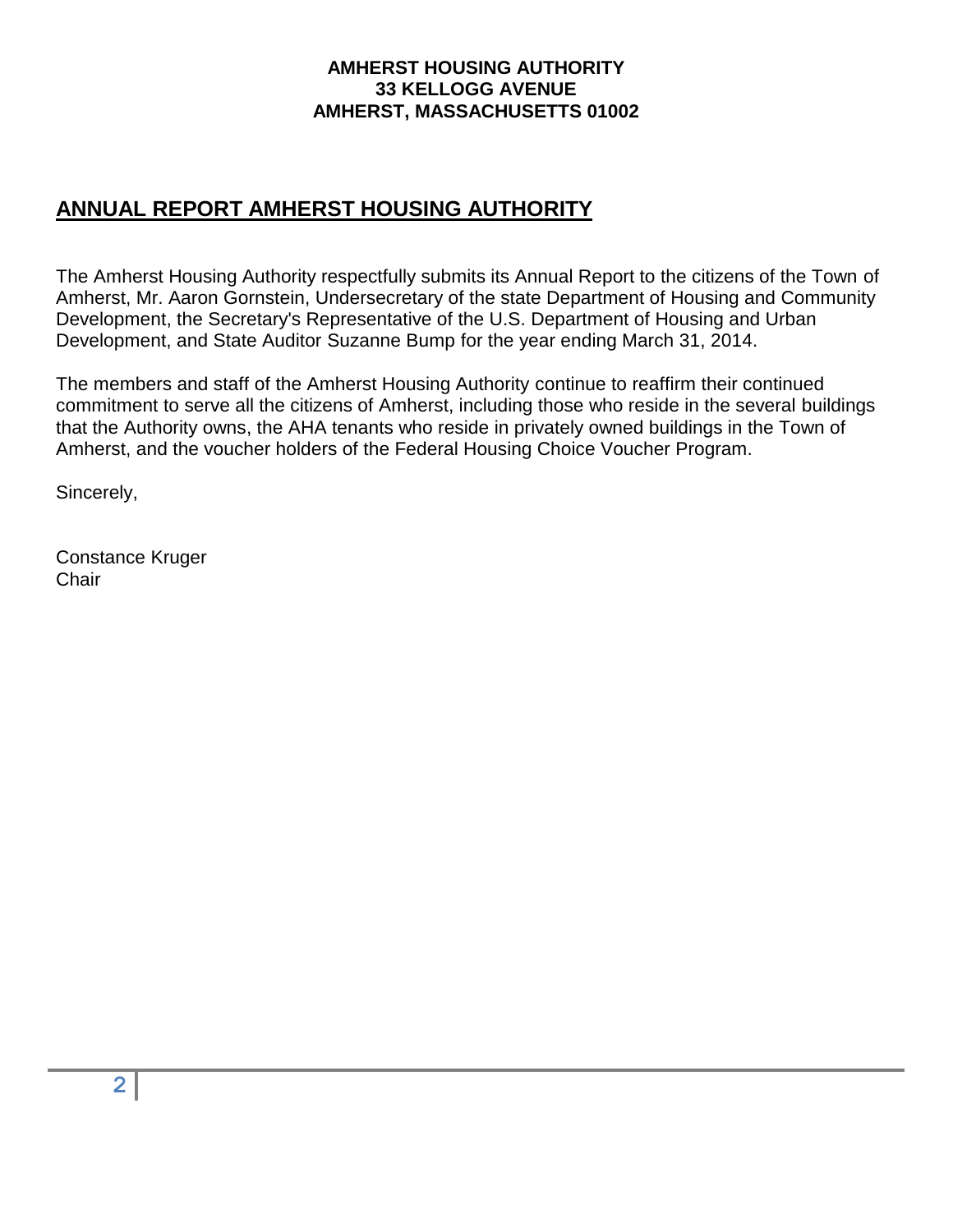### **AMHERST HOUSING AUTHORITY 33 KELLOGG AVENUE AMHERST, MASSACHUSETTS 01002**

# **ANNUAL REPORT AMHERST HOUSING AUTHORITY**

The Amherst Housing Authority respectfully submits its Annual Report to the citizens of the Town of Amherst, Mr. Aaron Gornstein, Undersecretary of the state Department of Housing and Community Development, the Secretary's Representative of the U.S. Department of Housing and Urban Development, and State Auditor Suzanne Bump for the year ending March 31, 2014.

The members and staff of the Amherst Housing Authority continue to reaffirm their continued commitment to serve all the citizens of Amherst, including those who reside in the several buildings that the Authority owns, the AHA tenants who reside in privately owned buildings in the Town of Amherst, and the voucher holders of the Federal Housing Choice Voucher Program.

Sincerely,

Constance Kruger **Chair**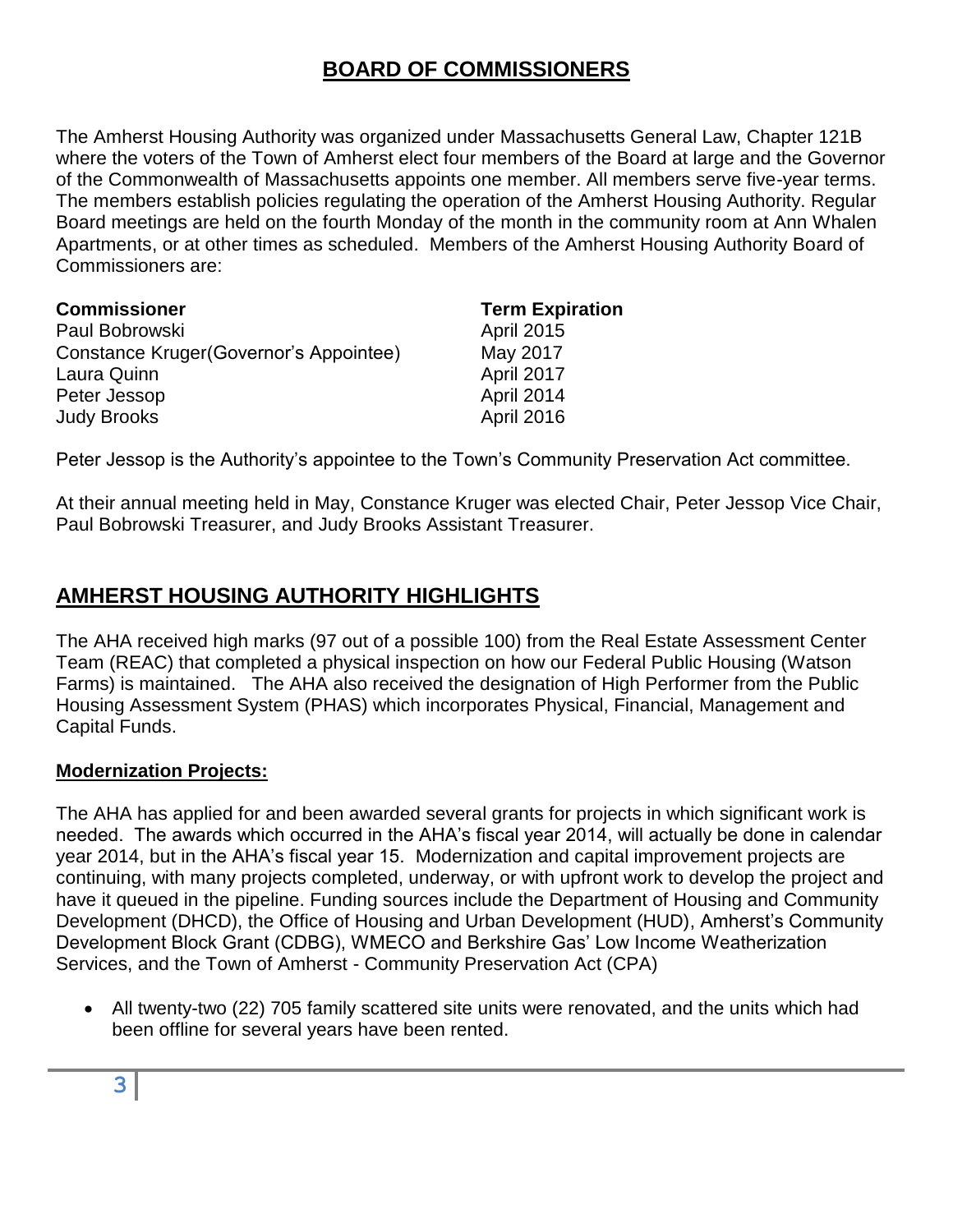# **BOARD OF COMMISSIONERS**

The Amherst Housing Authority was organized under Massachusetts General Law, Chapter 121B where the voters of the Town of Amherst elect four members of the Board at large and the Governor of the Commonwealth of Massachusetts appoints one member. All members serve five-year terms. The members establish policies regulating the operation of the Amherst Housing Authority. Regular Board meetings are held on the fourth Monday of the month in the community room at Ann Whalen Apartments, or at other times as scheduled. Members of the Amherst Housing Authority Board of Commissioners are:

| <b>Commissioner</b>                     | <b>Term Expiration</b> |
|-----------------------------------------|------------------------|
| Paul Bobrowski                          | <b>April 2015</b>      |
| Constance Kruger (Governor's Appointee) | May 2017               |
| Laura Quinn                             | April 2017             |
| Peter Jessop                            | April 2014             |
| <b>Judy Brooks</b>                      | April 2016             |

Peter Jessop is the Authority's appointee to the Town's Community Preservation Act committee.

At their annual meeting held in May, Constance Kruger was elected Chair, Peter Jessop Vice Chair, Paul Bobrowski Treasurer, and Judy Brooks Assistant Treasurer.

# **AMHERST HOUSING AUTHORITY HIGHLIGHTS**

The AHA received high marks (97 out of a possible 100) from the Real Estate Assessment Center Team (REAC) that completed a physical inspection on how our Federal Public Housing (Watson Farms) is maintained. The AHA also received the designation of High Performer from the Public Housing Assessment System (PHAS) which incorporates Physical, Financial, Management and Capital Funds.

## **Modernization Projects:**

The AHA has applied for and been awarded several grants for projects in which significant work is needed. The awards which occurred in the AHA's fiscal year 2014, will actually be done in calendar year 2014, but in the AHA's fiscal year 15. Modernization and capital improvement projects are continuing, with many projects completed, underway, or with upfront work to develop the project and have it queued in the pipeline. Funding sources include the Department of Housing and Community Development (DHCD), the Office of Housing and Urban Development (HUD), Amherst's Community Development Block Grant (CDBG), WMECO and Berkshire Gas' Low Income Weatherization Services, and the Town of Amherst - Community Preservation Act (CPA)

 All twenty-two (22) 705 family scattered site units were renovated, and the units which had been offline for several years have been rented.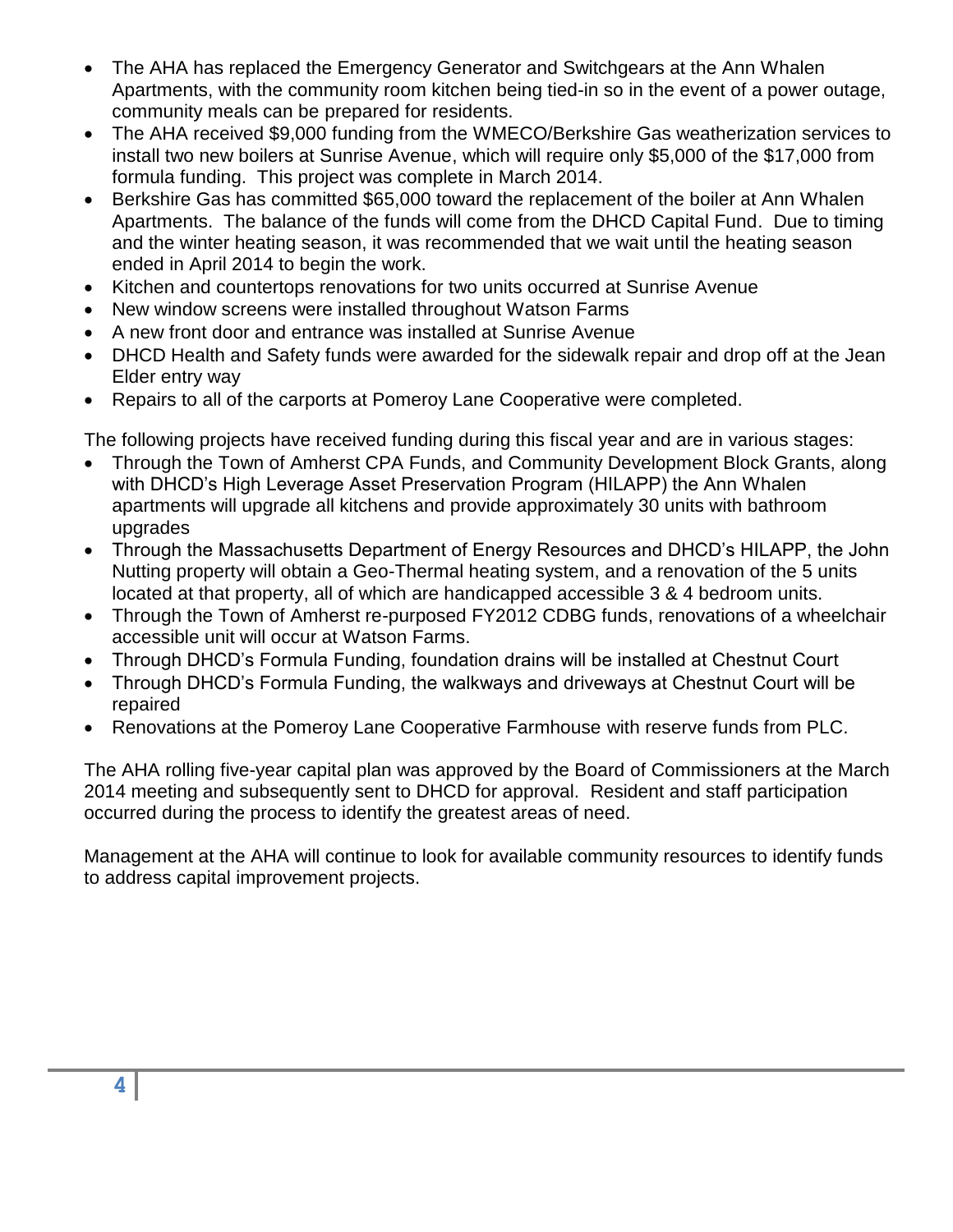- The AHA has replaced the Emergency Generator and Switchgears at the Ann Whalen Apartments, with the community room kitchen being tied-in so in the event of a power outage, community meals can be prepared for residents.
- The AHA received \$9,000 funding from the WMECO/Berkshire Gas weatherization services to install two new boilers at Sunrise Avenue, which will require only \$5,000 of the \$17,000 from formula funding. This project was complete in March 2014.
- Berkshire Gas has committed \$65,000 toward the replacement of the boiler at Ann Whalen Apartments. The balance of the funds will come from the DHCD Capital Fund. Due to timing and the winter heating season, it was recommended that we wait until the heating season ended in April 2014 to begin the work.
- Kitchen and countertops renovations for two units occurred at Sunrise Avenue
- New window screens were installed throughout Watson Farms
- A new front door and entrance was installed at Sunrise Avenue
- DHCD Health and Safety funds were awarded for the sidewalk repair and drop off at the Jean Elder entry way
- Repairs to all of the carports at Pomeroy Lane Cooperative were completed.

The following projects have received funding during this fiscal year and are in various stages:

- Through the Town of Amherst CPA Funds, and Community Development Block Grants, along with DHCD's High Leverage Asset Preservation Program (HILAPP) the Ann Whalen apartments will upgrade all kitchens and provide approximately 30 units with bathroom upgrades
- Through the Massachusetts Department of Energy Resources and DHCD's HILAPP, the John Nutting property will obtain a Geo-Thermal heating system, and a renovation of the 5 units located at that property, all of which are handicapped accessible 3 & 4 bedroom units.
- Through the Town of Amherst re-purposed FY2012 CDBG funds, renovations of a wheelchair accessible unit will occur at Watson Farms.
- Through DHCD's Formula Funding, foundation drains will be installed at Chestnut Court
- Through DHCD's Formula Funding, the walkways and driveways at Chestnut Court will be repaired
- Renovations at the Pomeroy Lane Cooperative Farmhouse with reserve funds from PLC.

The AHA rolling five-year capital plan was approved by the Board of Commissioners at the March 2014 meeting and subsequently sent to DHCD for approval. Resident and staff participation occurred during the process to identify the greatest areas of need.

Management at the AHA will continue to look for available community resources to identify funds to address capital improvement projects.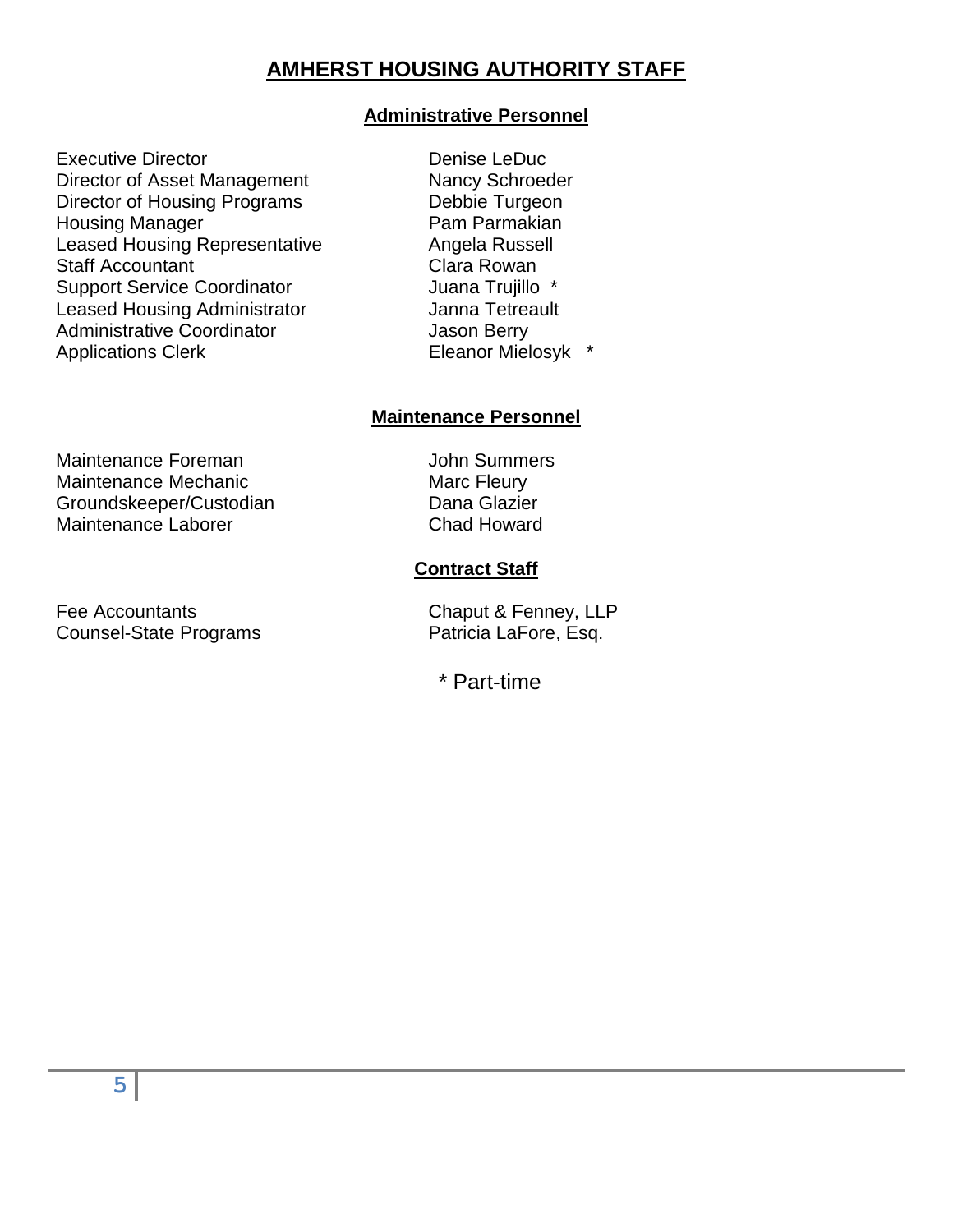# **AMHERST HOUSING AUTHORITY STAFF**

### **Administrative Personnel**

- Executive Director **Denise Leaper** Denise LeDuc Director of Asset Management Nancy Schroeder Director of Housing Programs Debbie Turgeon Housing Manager **Pam Parmakian** Leased Housing Representative **Angela Russell** Staff Accountant Support Service Coordinator Leased Housing Administrator Administrative Coordinator Applications Clerk
	- Clara Rowan Juana Trujillo \* Janna Tetreault Jason Berry Eleanor Mielosyk \*

### **Maintenance Personnel**

Maintenance Foreman and The Maintenance of the Maintenance of the Maintenance of the Maintenance of the Maintenance of the Maintenance of the Maintenance of the Maintenance of the Maintenance of the Maintenance of the Main Maintenance Mechanic Marc Fleury Groundskeeper/Custodian Dana Glazier<br>Maintenance Laborer Chad Howard Maintenance Laborer

Fee Accountants **Chaput & Fenney, LLP** Counsel-State Programs Patricia LaFore, Esq.

### **Contract Staff**

\* Part-time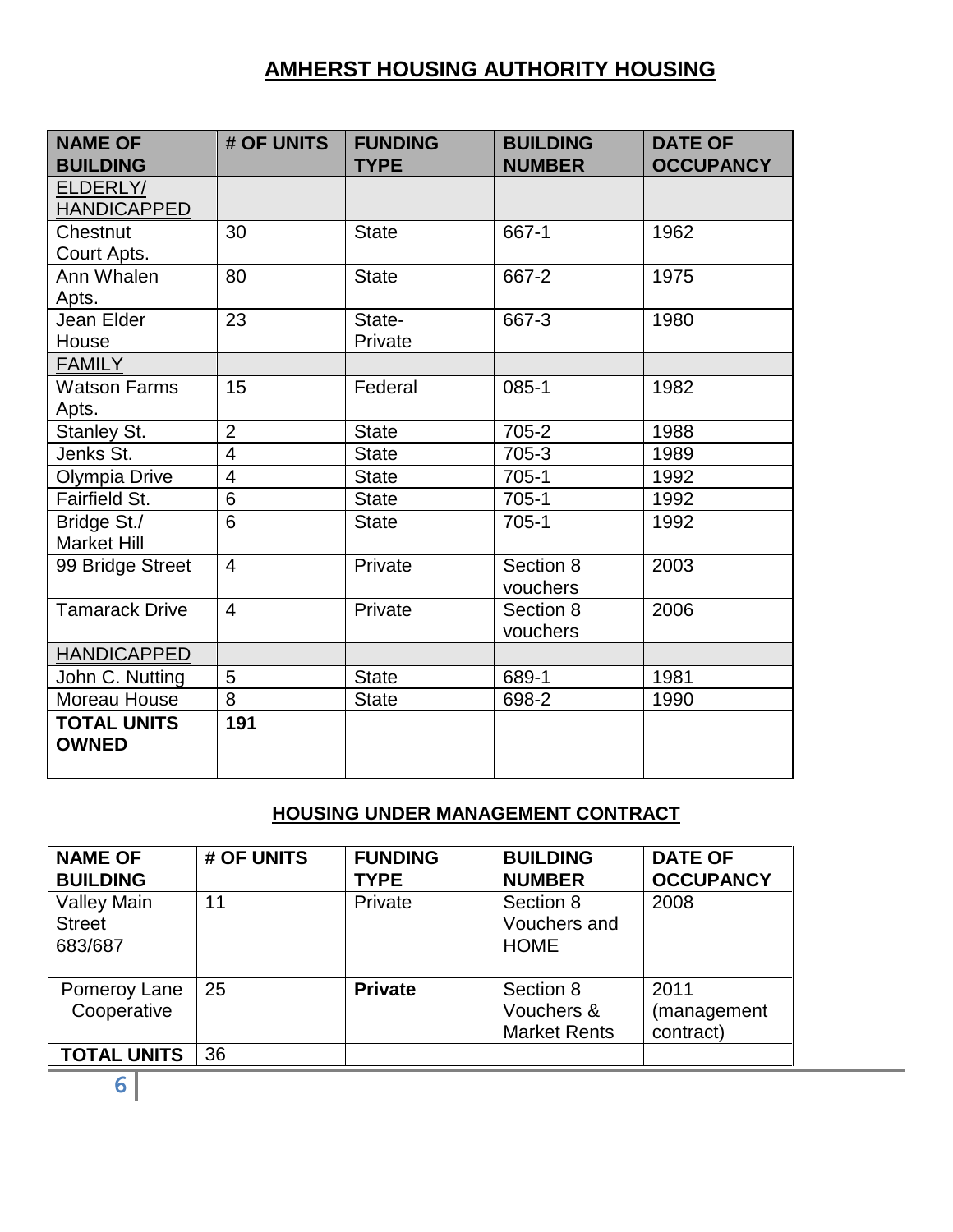# **AMHERST HOUSING AUTHORITY HOUSING**

| <b>NAME OF</b><br><b>BUILDING</b>  | # OF UNITS     | <b>FUNDING</b><br><b>TYPE</b> | <b>BUILDING</b><br><b>NUMBER</b> | <b>DATE OF</b><br><b>OCCUPANCY</b> |
|------------------------------------|----------------|-------------------------------|----------------------------------|------------------------------------|
| ELDERLY/<br><b>HANDICAPPED</b>     |                |                               |                                  |                                    |
| Chestnut<br>Court Apts.            | 30             | <b>State</b>                  | 667-1                            | 1962                               |
| Ann Whalen<br>Apts.                | 80             | <b>State</b>                  | 667-2                            | 1975                               |
| Jean Elder<br>House                | 23             | State-<br>Private             | 667-3                            | 1980                               |
| <b>FAMILY</b>                      |                |                               |                                  |                                    |
| <b>Watson Farms</b><br>Apts.       | 15             | Federal                       | $085 - 1$                        | 1982                               |
| Stanley St.                        | $\overline{2}$ | <b>State</b>                  | 705-2                            | 1988                               |
| Jenks St.                          | $\overline{4}$ | <b>State</b>                  | 705-3                            | 1989                               |
| Olympia Drive                      | $\overline{4}$ | <b>State</b>                  | $705-1$                          | 1992                               |
| Fairfield St.                      | 6              | <b>State</b>                  | $705-1$                          | 1992                               |
| Bridge St./<br><b>Market Hill</b>  | 6              | <b>State</b>                  | $705-1$                          | 1992                               |
| 99 Bridge Street                   | $\overline{4}$ | Private                       | Section 8<br>vouchers            | 2003                               |
| <b>Tamarack Drive</b>              | $\overline{4}$ | Private                       | Section 8<br>vouchers            | 2006                               |
| <b>HANDICAPPED</b>                 |                |                               |                                  |                                    |
| John C. Nutting                    | 5              | <b>State</b>                  | 689-1                            | 1981                               |
| Moreau House                       | 8              | <b>State</b>                  | 698-2                            | 1990                               |
| <b>TOTAL UNITS</b><br><b>OWNED</b> | 191            |                               |                                  |                                    |

## **HOUSING UNDER MANAGEMENT CONTRACT**

| <b>NAME OF</b><br><b>BUILDING</b>              | # OF UNITS | <b>FUNDING</b><br><b>TYPE</b> | <b>BUILDING</b><br><b>NUMBER</b>               | <b>DATE OF</b><br><b>OCCUPANCY</b> |
|------------------------------------------------|------------|-------------------------------|------------------------------------------------|------------------------------------|
| <b>Valley Main</b><br><b>Street</b><br>683/687 | 11         | Private                       | Section 8<br>Vouchers and<br><b>HOME</b>       | 2008                               |
| Pomeroy Lane<br>Cooperative                    | 25         | <b>Private</b>                | Section 8<br>Vouchers &<br><b>Market Rents</b> | 2011<br>(management<br>contract)   |
| <b>TOTAL UNITS</b>                             | 36         |                               |                                                |                                    |

**6**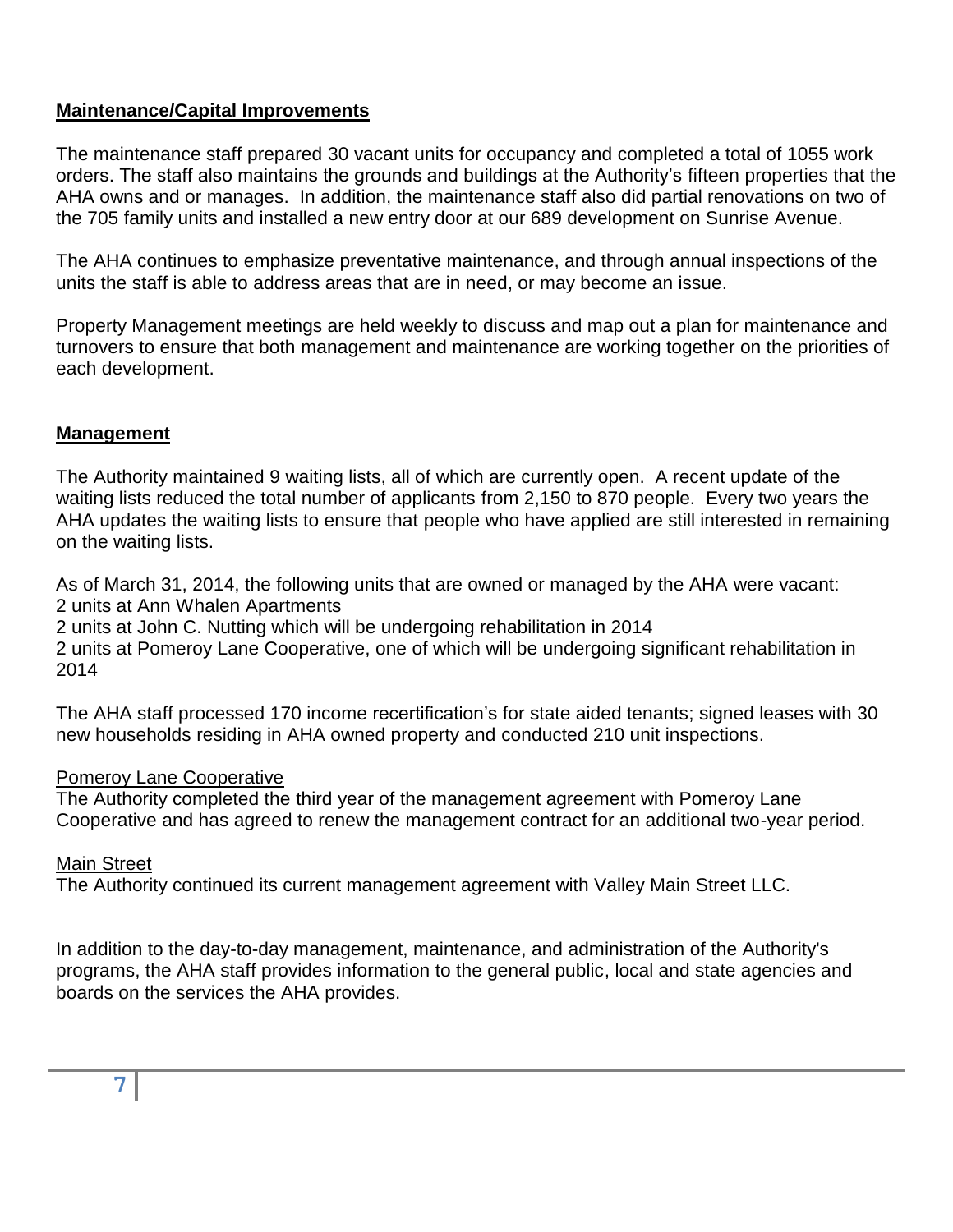### **Maintenance/Capital Improvements**

The maintenance staff prepared 30 vacant units for occupancy and completed a total of 1055 work orders. The staff also maintains the grounds and buildings at the Authority's fifteen properties that the AHA owns and or manages. In addition, the maintenance staff also did partial renovations on two of the 705 family units and installed a new entry door at our 689 development on Sunrise Avenue.

The AHA continues to emphasize preventative maintenance, and through annual inspections of the units the staff is able to address areas that are in need, or may become an issue.

Property Management meetings are held weekly to discuss and map out a plan for maintenance and turnovers to ensure that both management and maintenance are working together on the priorities of each development.

## **Management**

The Authority maintained 9 waiting lists, all of which are currently open. A recent update of the waiting lists reduced the total number of applicants from 2,150 to 870 people. Every two years the AHA updates the waiting lists to ensure that people who have applied are still interested in remaining on the waiting lists.

As of March 31, 2014, the following units that are owned or managed by the AHA were vacant: 2 units at Ann Whalen Apartments

2 units at John C. Nutting which will be undergoing rehabilitation in 2014

2 units at Pomeroy Lane Cooperative, one of which will be undergoing significant rehabilitation in 2014

The AHA staff processed 170 income recertification's for state aided tenants; signed leases with 30 new households residing in AHA owned property and conducted 210 unit inspections.

### Pomeroy Lane Cooperative

The Authority completed the third year of the management agreement with Pomeroy Lane Cooperative and has agreed to renew the management contract for an additional two-year period.

### Main Street

The Authority continued its current management agreement with Valley Main Street LLC.

In addition to the day-to-day management, maintenance, and administration of the Authority's programs, the AHA staff provides information to the general public, local and state agencies and boards on the services the AHA provides.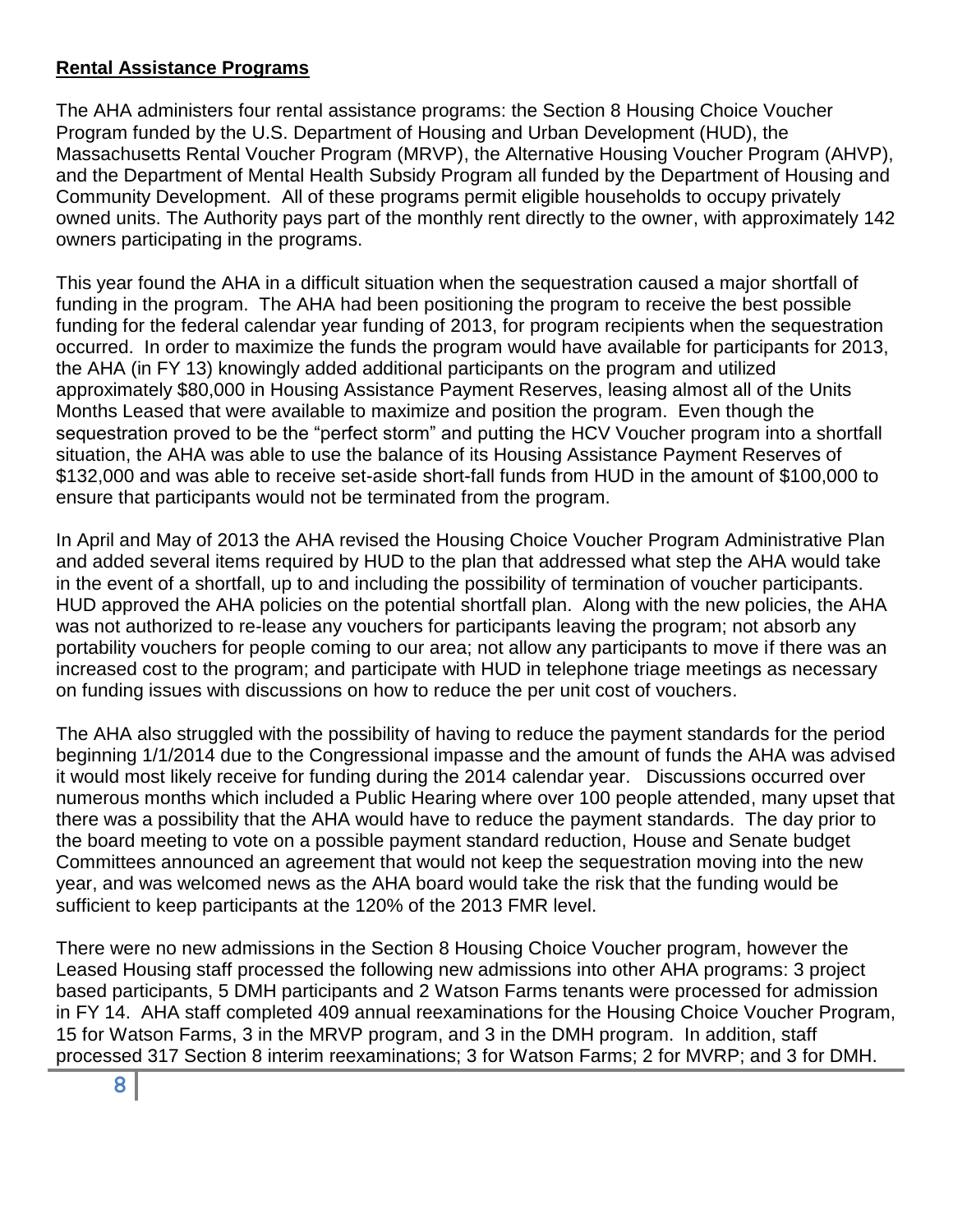## **Rental Assistance Programs**

The AHA administers four rental assistance programs: the Section 8 Housing Choice Voucher Program funded by the U.S. Department of Housing and Urban Development (HUD), the Massachusetts Rental Voucher Program (MRVP), the Alternative Housing Voucher Program (AHVP), and the Department of Mental Health Subsidy Program all funded by the Department of Housing and Community Development. All of these programs permit eligible households to occupy privately owned units. The Authority pays part of the monthly rent directly to the owner, with approximately 142 owners participating in the programs.

This year found the AHA in a difficult situation when the sequestration caused a major shortfall of funding in the program. The AHA had been positioning the program to receive the best possible funding for the federal calendar year funding of 2013, for program recipients when the sequestration occurred. In order to maximize the funds the program would have available for participants for 2013, the AHA (in FY 13) knowingly added additional participants on the program and utilized approximately \$80,000 in Housing Assistance Payment Reserves, leasing almost all of the Units Months Leased that were available to maximize and position the program. Even though the sequestration proved to be the "perfect storm" and putting the HCV Voucher program into a shortfall situation, the AHA was able to use the balance of its Housing Assistance Payment Reserves of \$132,000 and was able to receive set-aside short-fall funds from HUD in the amount of \$100,000 to ensure that participants would not be terminated from the program.

In April and May of 2013 the AHA revised the Housing Choice Voucher Program Administrative Plan and added several items required by HUD to the plan that addressed what step the AHA would take in the event of a shortfall, up to and including the possibility of termination of voucher participants. HUD approved the AHA policies on the potential shortfall plan. Along with the new policies, the AHA was not authorized to re-lease any vouchers for participants leaving the program; not absorb any portability vouchers for people coming to our area; not allow any participants to move if there was an increased cost to the program; and participate with HUD in telephone triage meetings as necessary on funding issues with discussions on how to reduce the per unit cost of vouchers.

The AHA also struggled with the possibility of having to reduce the payment standards for the period beginning 1/1/2014 due to the Congressional impasse and the amount of funds the AHA was advised it would most likely receive for funding during the 2014 calendar year. Discussions occurred over numerous months which included a Public Hearing where over 100 people attended, many upset that there was a possibility that the AHA would have to reduce the payment standards. The day prior to the board meeting to vote on a possible payment standard reduction, House and Senate budget Committees announced an agreement that would not keep the sequestration moving into the new year, and was welcomed news as the AHA board would take the risk that the funding would be sufficient to keep participants at the 120% of the 2013 FMR level.

There were no new admissions in the Section 8 Housing Choice Voucher program, however the Leased Housing staff processed the following new admissions into other AHA programs: 3 project based participants, 5 DMH participants and 2 Watson Farms tenants were processed for admission in FY 14. AHA staff completed 409 annual reexaminations for the Housing Choice Voucher Program, 15 for Watson Farms, 3 in the MRVP program, and 3 in the DMH program. In addition, staff processed 317 Section 8 interim reexaminations; 3 for Watson Farms; 2 for MVRP; and 3 for DMH.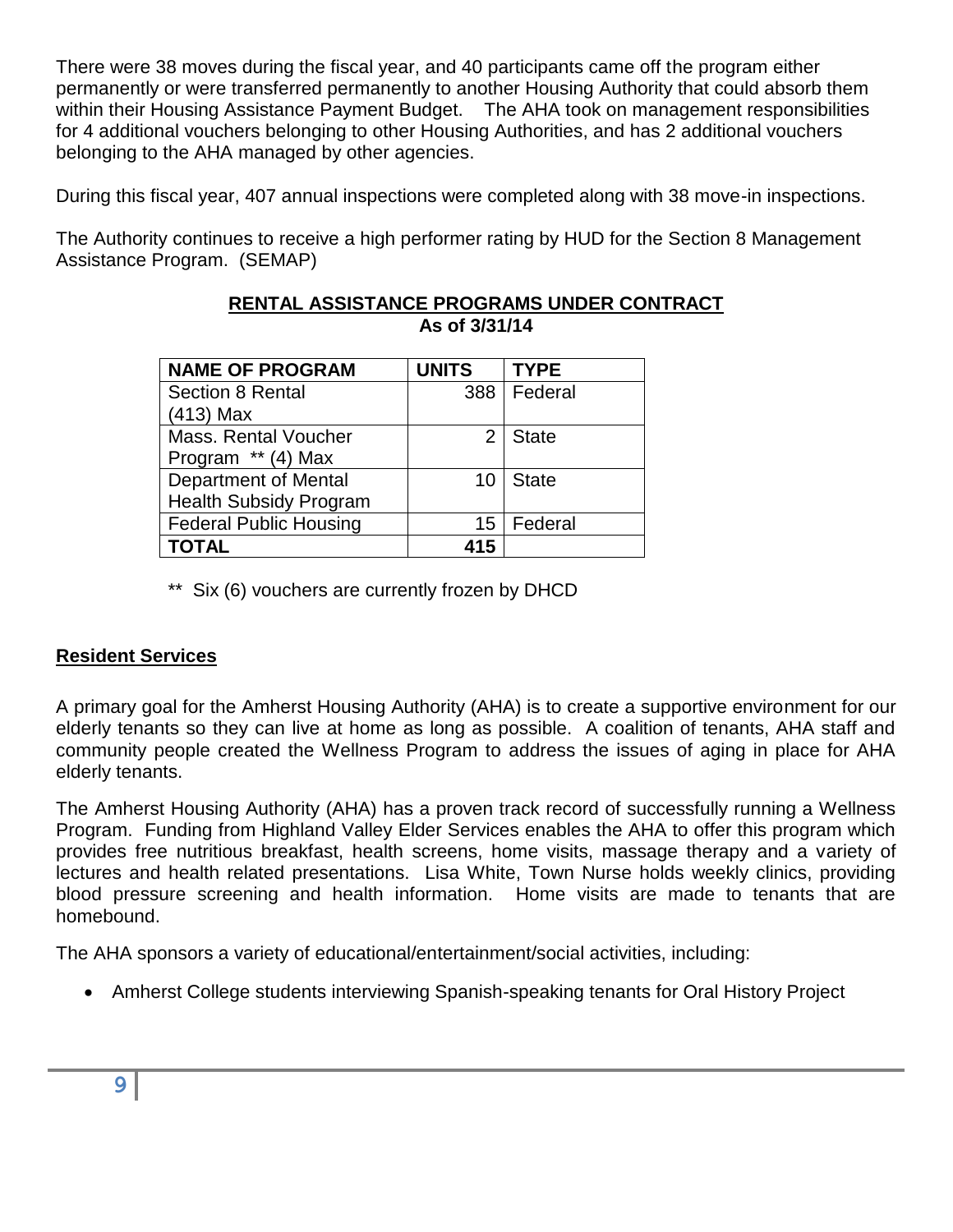There were 38 moves during the fiscal year, and 40 participants came off the program either permanently or were transferred permanently to another Housing Authority that could absorb them within their Housing Assistance Payment Budget. The AHA took on management responsibilities for 4 additional vouchers belonging to other Housing Authorities, and has 2 additional vouchers belonging to the AHA managed by other agencies.

During this fiscal year, 407 annual inspections were completed along with 38 move-in inspections.

The Authority continues to receive a high performer rating by HUD for the Section 8 Management Assistance Program. (SEMAP)

| <b>NAME OF PROGRAM</b>        | <b>UNITS</b>   | <b>TYPE</b>   |
|-------------------------------|----------------|---------------|
| <b>Section 8 Rental</b>       |                | 388   Federal |
| $(413)$ Max                   |                |               |
| <b>Mass. Rental Voucher</b>   | 2 <sub>1</sub> | State         |
| Program ** (4) Max            |                |               |
| <b>Department of Mental</b>   | 10             | State         |
| <b>Health Subsidy Program</b> |                |               |
| <b>Federal Public Housing</b> | 15             | Federal       |
| <b>TOTAL</b>                  | 415            |               |

#### **RENTAL ASSISTANCE PROGRAMS UNDER CONTRACT As of 3/31/14**

\*\* Six (6) vouchers are currently frozen by DHCD

### **Resident Services**

A primary goal for the Amherst Housing Authority (AHA) is to create a supportive environment for our elderly tenants so they can live at home as long as possible. A coalition of tenants, AHA staff and community people created the Wellness Program to address the issues of aging in place for AHA elderly tenants.

The Amherst Housing Authority (AHA) has a proven track record of successfully running a Wellness Program. Funding from Highland Valley Elder Services enables the AHA to offer this program which provides free nutritious breakfast, health screens, home visits, massage therapy and a variety of lectures and health related presentations. Lisa White, Town Nurse holds weekly clinics, providing blood pressure screening and health information. Home visits are made to tenants that are homebound.

The AHA sponsors a variety of educational/entertainment/social activities, including:

• Amherst College students interviewing Spanish-speaking tenants for Oral History Project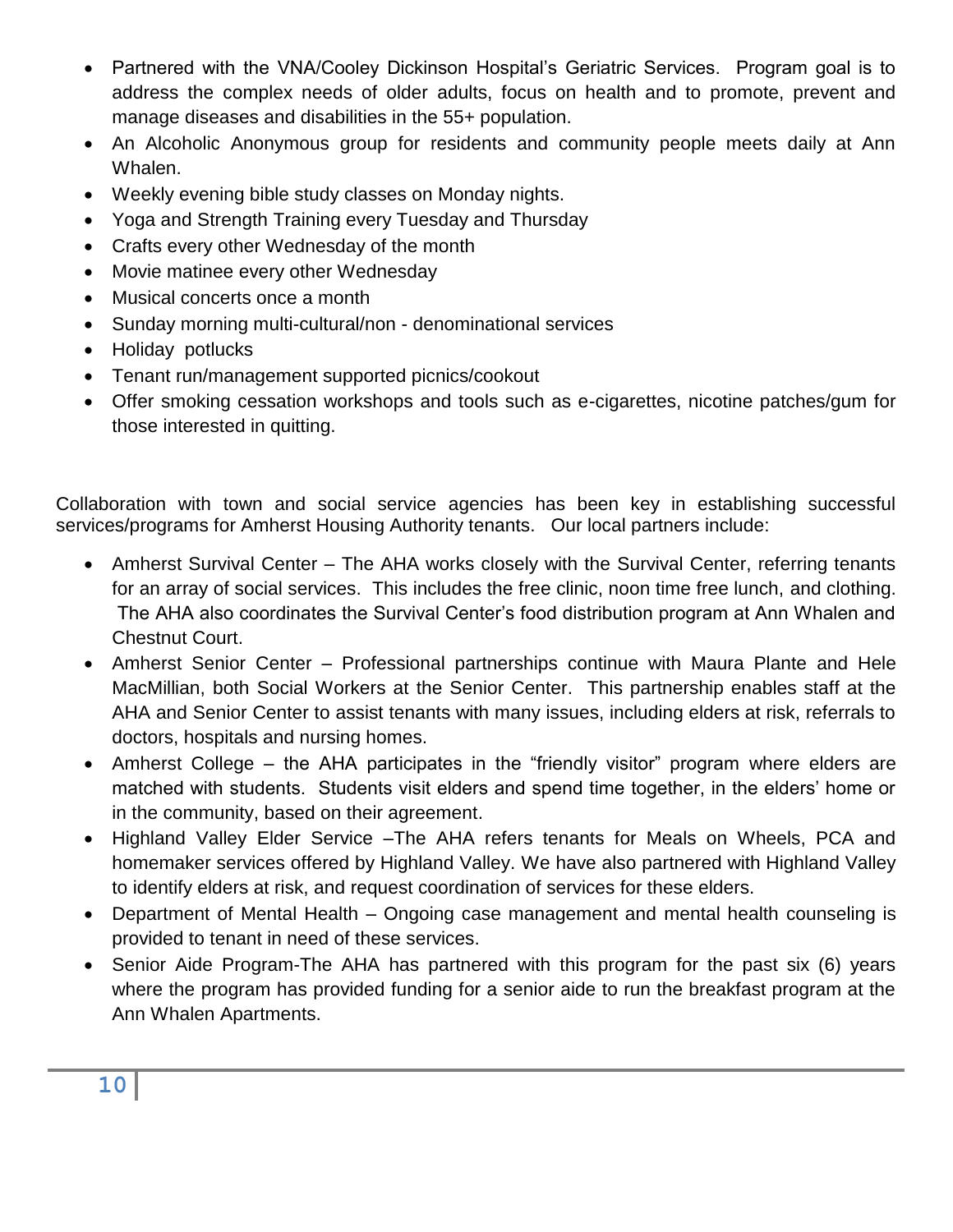- Partnered with the VNA/Cooley Dickinson Hospital's Geriatric Services. Program goal is to address the complex needs of older adults, focus on health and to promote, prevent and manage diseases and disabilities in the 55+ population.
- An Alcoholic Anonymous group for residents and community people meets daily at Ann Whalen.
- Weekly evening bible study classes on Monday nights.
- Yoga and Strength Training every Tuesday and Thursday
- Crafts every other Wednesday of the month
- Movie matinee every other Wednesday
- Musical concerts once a month
- Sunday morning multi-cultural/non denominational services
- Holiday potlucks
- Tenant run/management supported picnics/cookout
- Offer smoking cessation workshops and tools such as e-cigarettes, nicotine patches/gum for those interested in quitting.

Collaboration with town and social service agencies has been key in establishing successful services/programs for Amherst Housing Authority tenants. Our local partners include:

- Amherst Survival Center The AHA works closely with the Survival Center, referring tenants for an array of social services. This includes the free clinic, noon time free lunch, and clothing. The AHA also coordinates the Survival Center's food distribution program at Ann Whalen and Chestnut Court.
- Amherst Senior Center Professional partnerships continue with Maura Plante and Hele MacMillian, both Social Workers at the Senior Center. This partnership enables staff at the AHA and Senior Center to assist tenants with many issues, including elders at risk, referrals to doctors, hospitals and nursing homes.
- Amherst College the AHA participates in the "friendly visitor" program where elders are matched with students. Students visit elders and spend time together, in the elders' home or in the community, based on their agreement.
- Highland Valley Elder Service –The AHA refers tenants for Meals on Wheels, PCA and homemaker services offered by Highland Valley. We have also partnered with Highland Valley to identify elders at risk, and request coordination of services for these elders.
- Department of Mental Health Ongoing case management and mental health counseling is provided to tenant in need of these services.
- Senior Aide Program-The AHA has partnered with this program for the past six (6) years where the program has provided funding for a senior aide to run the breakfast program at the Ann Whalen Apartments.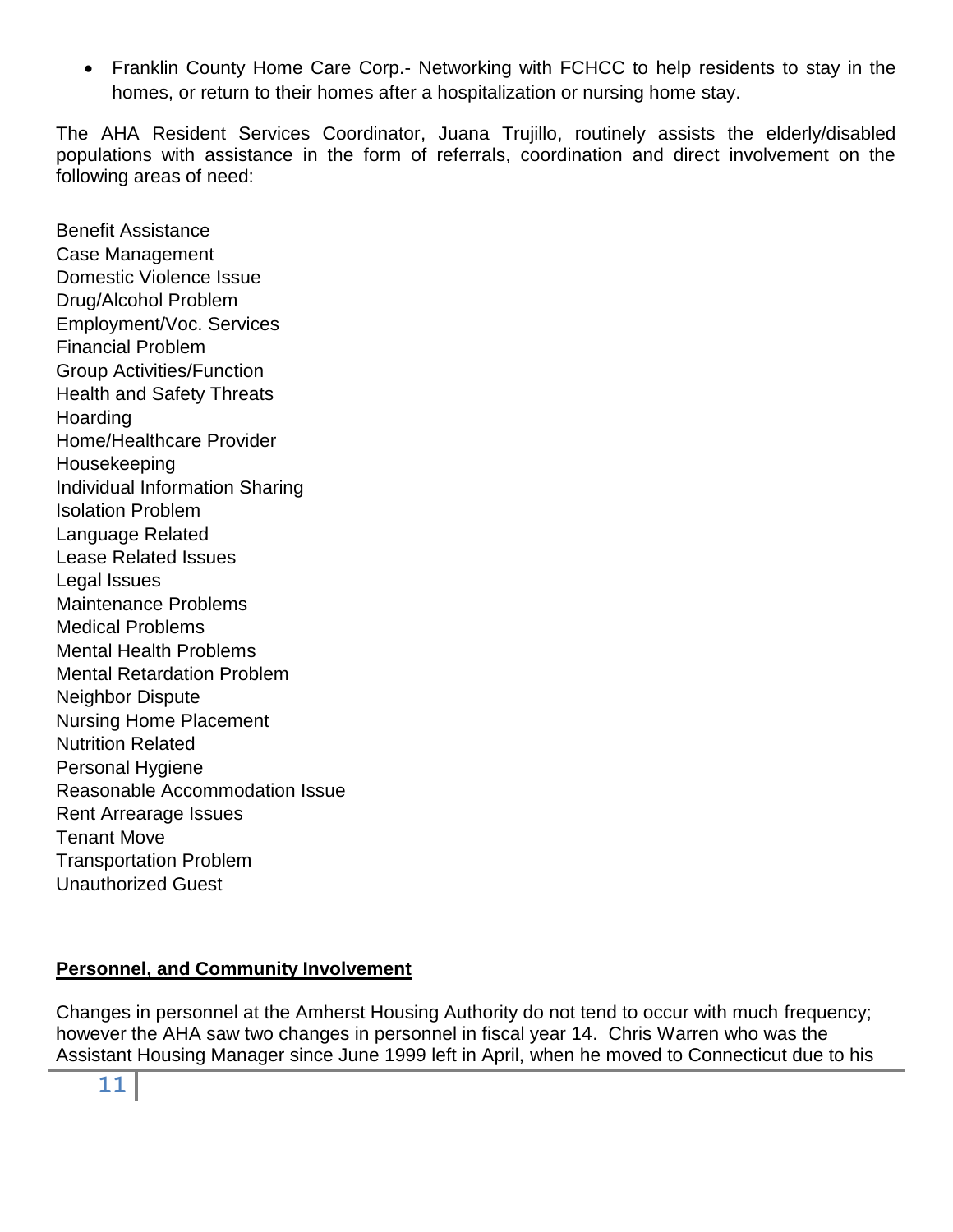Franklin County Home Care Corp.- Networking with FCHCC to help residents to stay in the homes, or return to their homes after a hospitalization or nursing home stay.

The AHA Resident Services Coordinator, Juana Trujillo, routinely assists the elderly/disabled populations with assistance in the form of referrals, coordination and direct involvement on the following areas of need:

Benefit Assistance Case Management Domestic Violence Issue Drug/Alcohol Problem Employment/Voc. Services Financial Problem Group Activities/Function Health and Safety Threats Hoarding Home/Healthcare Provider Housekeeping Individual Information Sharing Isolation Problem Language Related Lease Related Issues Legal Issues Maintenance Problems Medical Problems Mental Health Problems Mental Retardation Problem Neighbor Dispute Nursing Home Placement Nutrition Related Personal Hygiene Reasonable Accommodation Issue Rent Arrearage Issues Tenant Move Transportation Problem Unauthorized Guest

## **Personnel, and Community Involvement**

Changes in personnel at the Amherst Housing Authority do not tend to occur with much frequency; however the AHA saw two changes in personnel in fiscal year 14. Chris Warren who was the Assistant Housing Manager since June 1999 left in April, when he moved to Connecticut due to his